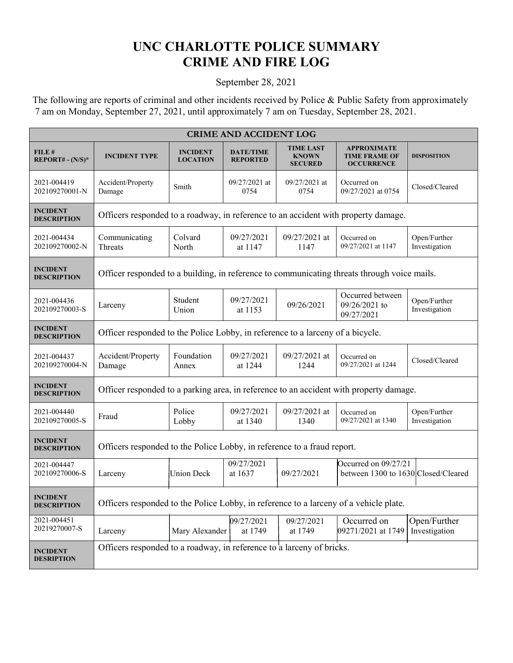## **UNC CHARLOTTE POLICE SUMMARY CRIME AND FIRE LOG**

## September 28, 2021

 The following are reports of criminal and other incidents received by Police & Public Safety from approximately 7 am on Monday, September 27, 2021, until approximately 7 am on Tuesday, September 28, 2021.

| <b>CRIME AND ACCIDENT LOG</b>         |                                                                                             |                                    |                                     |                                                    |                                                                 |                               |  |  |
|---------------------------------------|---------------------------------------------------------------------------------------------|------------------------------------|-------------------------------------|----------------------------------------------------|-----------------------------------------------------------------|-------------------------------|--|--|
| FILE#<br>$REPORT# - (N/S)*$           | <b>INCIDENT TYPE</b>                                                                        | <b>INCIDENT</b><br><b>LOCATION</b> | <b>DATE/TIME</b><br><b>REPORTED</b> | <b>TIME LAST</b><br><b>KNOWN</b><br><b>SECURED</b> | <b>APPROXIMATE</b><br><b>TIME FRAME OF</b><br><b>OCCURRENCE</b> | <b>DISPOSITION</b>            |  |  |
| 2021-004419<br>202109270001-N         | Accident/Property<br>Damage                                                                 | Smith                              | 09/27/2021 at<br>0754               | 09/27/2021 at<br>0754                              | Occurred on<br>09/27/2021 at 0754                               | Closed/Cleared                |  |  |
| <b>INCIDENT</b><br><b>DESCRIPTION</b> | Officers responded to a roadway, in reference to an accident with property damage.          |                                    |                                     |                                                    |                                                                 |                               |  |  |
| 2021-004434<br>202109270002-N         | Communicating<br>Threats                                                                    | Colvard<br>North                   | 09/27/2021<br>at 1147               | 09/27/2021 at<br>1147                              | Occurred on<br>09/27/2021 at 1147                               | Open/Further<br>Investigation |  |  |
| <b>INCIDENT</b><br><b>DESCRIPTION</b> | Officer responded to a building, in reference to communicating threats through voice mails. |                                    |                                     |                                                    |                                                                 |                               |  |  |
| 2021-004436<br>202109270003-S         | Larceny                                                                                     | Student<br>Union                   | 09/27/2021<br>at 1153               | 09/26/2021                                         | Occurred between<br>09/26/2021 to<br>09/27/2021                 | Open/Further<br>Investigation |  |  |
| <b>INCIDENT</b><br><b>DESCRIPTION</b> | Officer responded to the Police Lobby, in reference to a larceny of a bicycle.              |                                    |                                     |                                                    |                                                                 |                               |  |  |
| 2021-004437<br>202109270004-N         | Accident/Property<br>Damage                                                                 | Foundation<br>Annex                | 09/27/2021<br>at 1244               | 09/27/2021 at<br>1244                              | Occurred on<br>09/27/2021 at 1244                               | Closed/Cleared                |  |  |
| <b>INCIDENT</b><br><b>DESCRIPTION</b> | Officer responded to a parking area, in reference to an accident with property damage.      |                                    |                                     |                                                    |                                                                 |                               |  |  |
| 2021-004440<br>202109270005-S         | Fraud                                                                                       | Police<br>Lobby                    | 09/27/2021<br>at 1340               | 09/27/2021 at<br>1340                              | Occurred on<br>09/27/2021 at 1340                               | Open/Further<br>Investigation |  |  |
| <b>INCIDENT</b><br><b>DESCRIPTION</b> | Officers responded to the Police Lobby, in reference to a fraud report.                     |                                    |                                     |                                                    |                                                                 |                               |  |  |
| 2021-004447<br>202109270006-S         | Larceny                                                                                     | <b>Union Deck</b>                  | 09/27/2021<br>at 1637               | 09/27/2021                                         | Occurred on 09/27/21<br>between 1300 to 1630 Closed/Cleared     |                               |  |  |
| <b>INCIDENT</b><br><b>DESCRIPTION</b> | Officers responded to the Police Lobby, in reference to a larceny of a vehicle plate.       |                                    |                                     |                                                    |                                                                 |                               |  |  |
| 2021-004451<br>20219270007-S          | Larceny                                                                                     | Mary Alexander                     | 09/27/2021<br>at 1749               | 09/27/2021<br>at 1749                              | Occurred on<br>09271/2021 at 1749                               | Open/Further<br>Investigation |  |  |
| <b>INCIDENT</b><br><b>DESRIPTION</b>  | Officers responded to a roadway, in reference to a larceny of bricks.                       |                                    |                                     |                                                    |                                                                 |                               |  |  |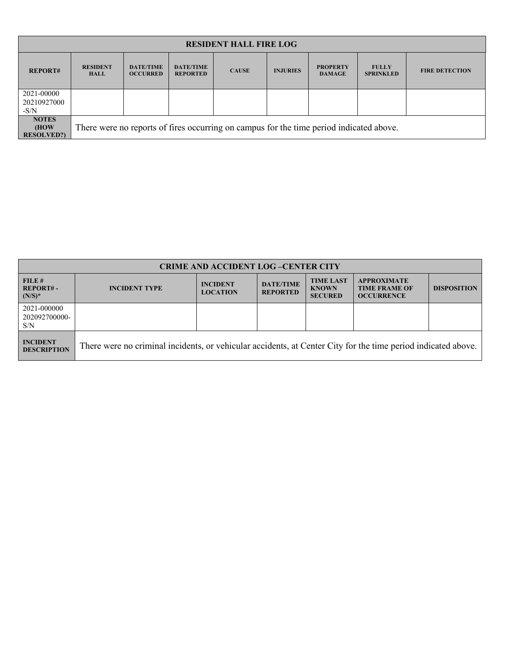| <b>RESIDENT HALL FIRE LOG</b>              |                                                                                         |                                     |                                     |              |                 |                                  |                                  |                       |
|--------------------------------------------|-----------------------------------------------------------------------------------------|-------------------------------------|-------------------------------------|--------------|-----------------|----------------------------------|----------------------------------|-----------------------|
| <b>REPORT#</b>                             | <b>RESIDENT</b><br><b>HALL</b>                                                          | <b>DATE/TIME</b><br><b>OCCURRED</b> | <b>DATE/TIME</b><br><b>REPORTED</b> | <b>CAUSE</b> | <b>INJURIES</b> | <b>PROPERTY</b><br><b>DAMAGE</b> | <b>FULLY</b><br><b>SPRINKLED</b> | <b>FIRE DETECTION</b> |
| 2021-00000<br>20210927000                  |                                                                                         |                                     |                                     |              |                 |                                  |                                  |                       |
| $-S/N$                                     |                                                                                         |                                     |                                     |              |                 |                                  |                                  |                       |
| <b>NOTES</b><br>(HOW)<br><b>RESOLVED?)</b> | There were no reports of fires occurring on campus for the time period indicated above. |                                     |                                     |              |                 |                                  |                                  |                       |

| <b>CRIME AND ACCIDENT LOG-CENTER CITY</b> |                                                                                                               |                                    |                                     |                                                    |                                                                 |                    |  |  |
|-------------------------------------------|---------------------------------------------------------------------------------------------------------------|------------------------------------|-------------------------------------|----------------------------------------------------|-----------------------------------------------------------------|--------------------|--|--|
| FILE#<br><b>REPORT#-</b><br>$(N/S)^*$     | <b>INCIDENT TYPE</b>                                                                                          | <b>INCIDENT</b><br><b>LOCATION</b> | <b>DATE/TIME</b><br><b>REPORTED</b> | <b>TIME LAST</b><br><b>KNOWN</b><br><b>SECURED</b> | <b>APPROXIMATE</b><br><b>TIME FRAME OF</b><br><b>OCCURRENCE</b> | <b>DISPOSITION</b> |  |  |
| 2021-000000<br>202092700000-<br>S/N       |                                                                                                               |                                    |                                     |                                                    |                                                                 |                    |  |  |
| <b>INCIDENT</b><br><b>DESCRIPTION</b>     | There were no criminal incidents, or vehicular accidents, at Center City for the time period indicated above. |                                    |                                     |                                                    |                                                                 |                    |  |  |